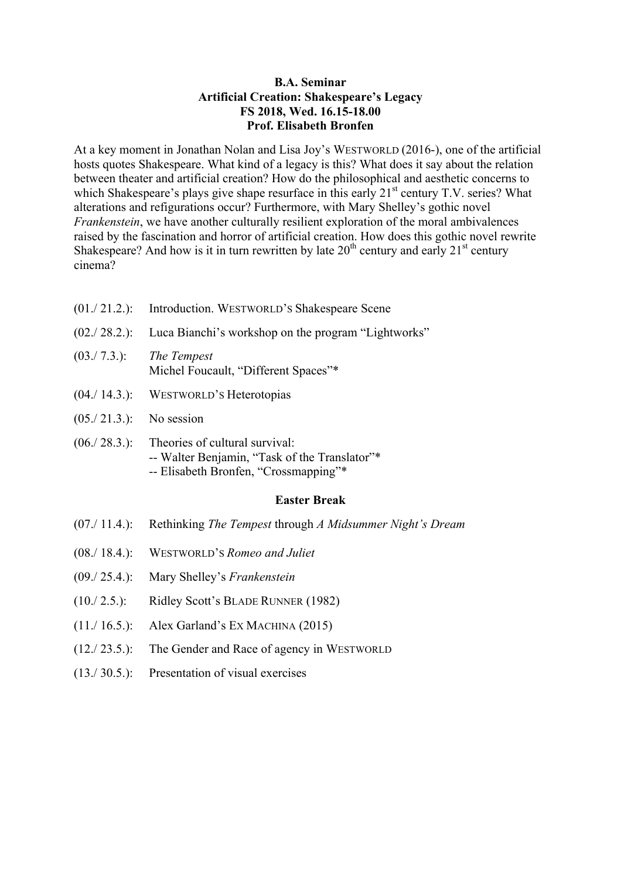## **B.A. Seminar Artificial Creation: Shakespeare's Legacy FS 2018, Wed. 16.15-18.00 Prof. Elisabeth Bronfen**

At a key moment in Jonathan Nolan and Lisa Joy's WESTWORLD (2016-), one of the artificial hosts quotes Shakespeare. What kind of a legacy is this? What does it say about the relation between theater and artificial creation? How do the philosophical and aesthetic concerns to which Shakespeare's plays give shape resurface in this early  $21<sup>st</sup>$  century T.V. series? What alterations and refigurations occur? Furthermore, with Mary Shelley's gothic novel *Frankenstein*, we have another culturally resilient exploration of the moral ambivalences raised by the fascination and horror of artificial creation. How does this gothic novel rewrite Shakespeare? And how is it in turn rewritten by late  $20<sup>th</sup>$  century and early  $21<sup>st</sup>$  century cinema?

- (01./ 21.2.): Introduction. WESTWORLD'S Shakespeare Scene
- (02./ 28.2.): Luca Bianchi's workshop on the program "Lightworks"
- (03./ 7.3.): *The Tempest* Michel Foucault, "Different Spaces"\*
- (04./ 14.3.): WESTWORLD'S Heterotopias
- (05./ 21.3.): No session
- (06./ 28.3.): Theories of cultural survival: -- Walter Benjamin, "Task of the Translator"\* -- Elisabeth Bronfen, "Crossmapping"\*

## **Easter Break**

- (07./ 11.4.): Rethinking *The Tempest* through *A Midsummer Night's Dream*
- (08./ 18.4.): WESTWORLD'S *Romeo and Juliet*
- (09./ 25.4.): Mary Shelley's *Frankenstein*
- (10./ 2.5.): Ridley Scott's BLADE RUNNER (1982)
- (11./ 16.5.): Alex Garland's EX MACHINA (2015)
- (12./ 23.5.): The Gender and Race of agency in WESTWORLD
- (13./ 30.5.): Presentation of visual exercises